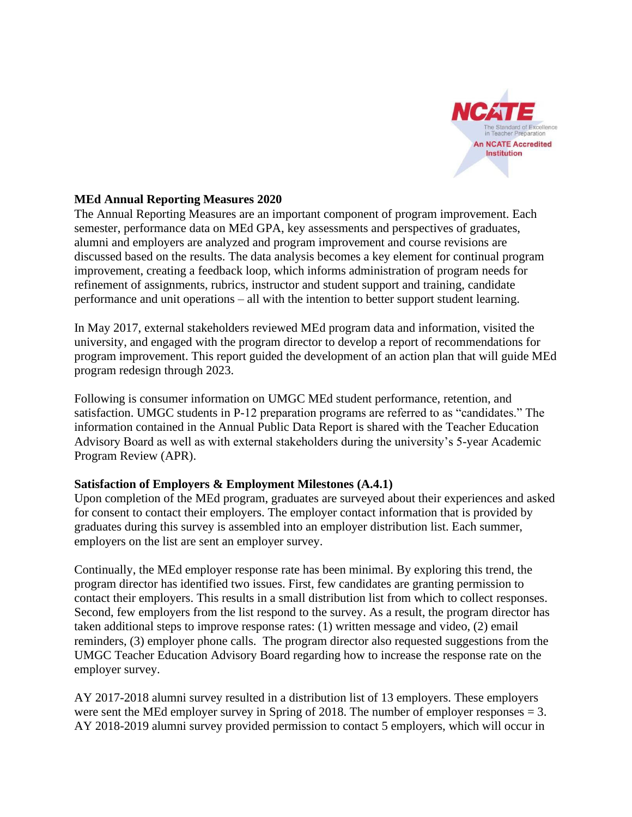

## **MEd Annual Reporting Measures 2020**

The Annual Reporting Measures are an important component of program improvement. Each semester, performance data on MEd GPA, key assessments and perspectives of graduates, alumni and employers are analyzed and program improvement and course revisions are discussed based on the results. The data analysis becomes a key element for continual program improvement, creating a feedback loop, which informs administration of program needs for refinement of assignments, rubrics, instructor and student support and training, candidate performance and unit operations – all with the intention to better support student learning.

In May 2017, external stakeholders reviewed MEd program data and information, visited the university, and engaged with the program director to develop a report of recommendations for program improvement. This report guided the development of an action plan that will guide MEd program redesign through 2023.

Following is consumer information on UMGC MEd student performance, retention, and satisfaction. UMGC students in P-12 preparation programs are referred to as "candidates." The information contained in the Annual Public Data Report is shared with the Teacher Education Advisory Board as well as with external stakeholders during the university's 5-year Academic Program Review (APR).

# **Satisfaction of Employers & Employment Milestones (A.4.1)**

Upon completion of the MEd program, graduates are surveyed about their experiences and asked for consent to contact their employers. The employer contact information that is provided by graduates during this survey is assembled into an employer distribution list. Each summer, employers on the list are sent an employer survey.

Continually, the MEd employer response rate has been minimal. By exploring this trend, the program director has identified two issues. First, few candidates are granting permission to contact their employers. This results in a small distribution list from which to collect responses. Second, few employers from the list respond to the survey. As a result, the program director has taken additional steps to improve response rates: (1) written message and video, (2) email reminders, (3) employer phone calls. The program director also requested suggestions from the UMGC Teacher Education Advisory Board regarding how to increase the response rate on the employer survey.

AY 2017-2018 alumni survey resulted in a distribution list of 13 employers. These employers were sent the MEd employer survey in Spring of 2018. The number of employer responses = 3. AY 2018-2019 alumni survey provided permission to contact 5 employers, which will occur in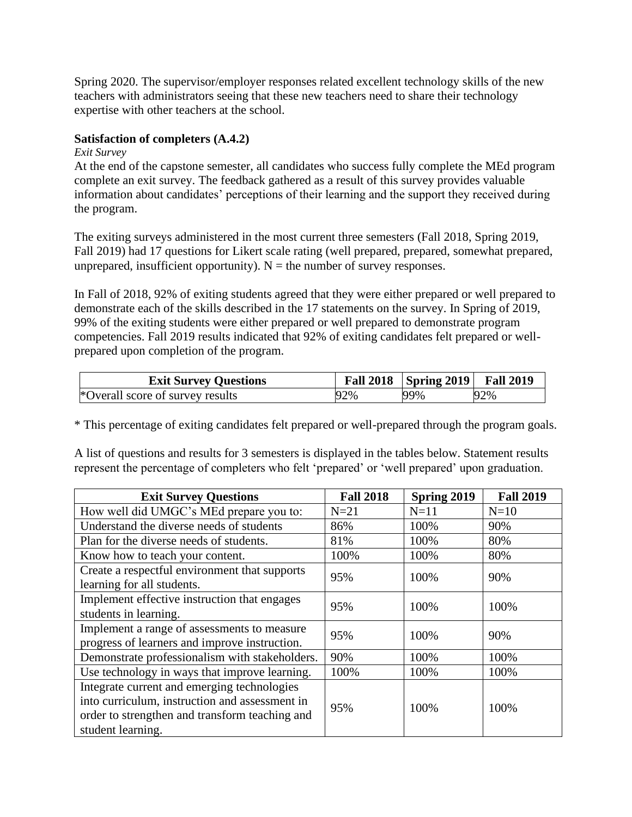Spring 2020. The supervisor/employer responses related excellent technology skills of the new teachers with administrators seeing that these new teachers need to share their technology expertise with other teachers at the school.

## **Satisfaction of completers (A.4.2)**

*Exit Survey* 

At the end of the capstone semester, all candidates who success fully complete the MEd program complete an exit survey. The feedback gathered as a result of this survey provides valuable information about candidates' perceptions of their learning and the support they received during the program.

The exiting surveys administered in the most current three semesters (Fall 2018, Spring 2019, Fall 2019) had 17 questions for Likert scale rating (well prepared, prepared, somewhat prepared, unprepared, insufficient opportunity).  $N =$  the number of survey responses.

In Fall of 2018, 92% of exiting students agreed that they were either prepared or well prepared to demonstrate each of the skills described in the 17 statements on the survey. In Spring of 2019, 99% of the exiting students were either prepared or well prepared to demonstrate program competencies. Fall 2019 results indicated that 92% of exiting candidates felt prepared or wellprepared upon completion of the program.

| <b>Exit Survey Questions</b>     |     | Fall 2018   Spring 2019   Fall 2019 |     |
|----------------------------------|-----|-------------------------------------|-----|
| *Overall score of survey results | 92% | 99%                                 | 92% |

\* This percentage of exiting candidates felt prepared or well-prepared through the program goals.

A list of questions and results for 3 semesters is displayed in the tables below. Statement results represent the percentage of completers who felt 'prepared' or 'well prepared' upon graduation.

| <b>Exit Survey Questions</b>                   | <b>Fall 2018</b> | Spring 2019 | <b>Fall 2019</b> |  |
|------------------------------------------------|------------------|-------------|------------------|--|
| How well did UMGC's MEd prepare you to:        | $N=21$           | $N=11$      | $N=10$           |  |
| Understand the diverse needs of students       | 86%              | 100%        | 90%              |  |
| Plan for the diverse needs of students.        | 81%              | 100%        | 80%              |  |
| Know how to teach your content.                | 100%             | 100%        | 80%              |  |
| Create a respectful environment that supports  | 95%              | 100%        | 90%              |  |
| learning for all students.                     |                  |             |                  |  |
| Implement effective instruction that engages   | 95%              | 100%        | 100%             |  |
| students in learning.                          |                  |             |                  |  |
| Implement a range of assessments to measure    | 95%              | 100%        | 90%              |  |
| progress of learners and improve instruction.  |                  |             |                  |  |
| Demonstrate professionalism with stakeholders. | 90%              | 100%        | 100%             |  |
| Use technology in ways that improve learning.  | 100%             | 100%        | 100%             |  |
| Integrate current and emerging technologies    |                  |             |                  |  |
| into curriculum, instruction and assessment in | 95%              | 100%        | 100%             |  |
| order to strengthen and transform teaching and |                  |             |                  |  |
| student learning.                              |                  |             |                  |  |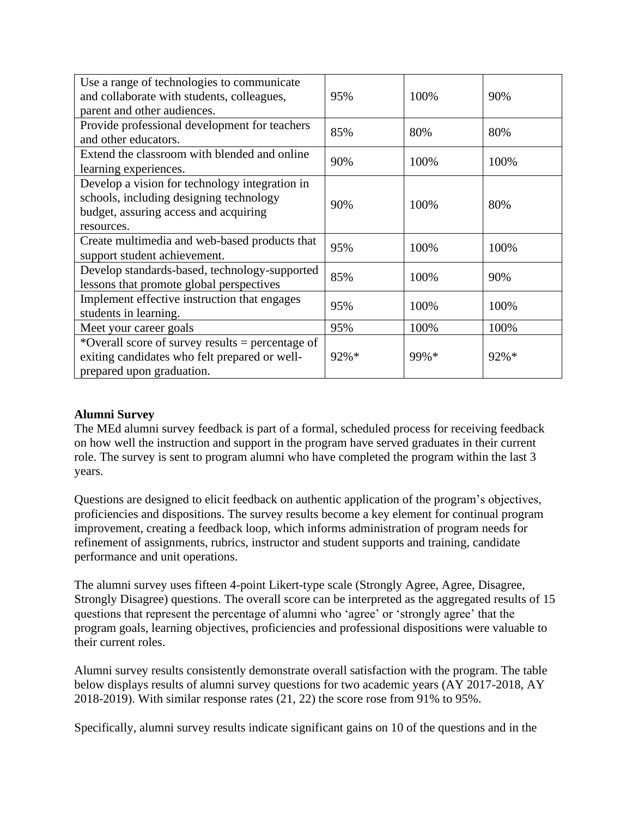| Use a range of technologies to communicate<br>and collaborate with students, colleagues,<br>parent and other audiences.                          | 95%  | 100% | 90%  |
|--------------------------------------------------------------------------------------------------------------------------------------------------|------|------|------|
| Provide professional development for teachers<br>and other educators.                                                                            | 85%  | 80%  | 80%  |
| Extend the classroom with blended and online<br>learning experiences.                                                                            | 90%  | 100% | 100% |
| Develop a vision for technology integration in<br>schools, including designing technology<br>budget, assuring access and acquiring<br>resources. | 90%  | 100% | 80%  |
| Create multimedia and web-based products that<br>support student achievement.                                                                    | 95%  | 100% | 100% |
| Develop standards-based, technology-supported<br>lessons that promote global perspectives                                                        | 85%  | 100% | 90%  |
| Implement effective instruction that engages<br>students in learning.                                                                            | 95%  | 100% | 100% |
| Meet your career goals                                                                                                                           | 95%  | 100% | 100% |
| *Overall score of survey results = percentage of<br>exiting candidates who felt prepared or well-<br>prepared upon graduation.                   | 92%* | 99%* | 92%* |

# **Alumni Survey**

The MEd alumni survey feedback is part of a formal, scheduled process for receiving feedback on how well the instruction and support in the program have served graduates in their current role. The survey is sent to program alumni who have completed the program within the last 3 years.

Questions are designed to elicit feedback on authentic application of the program's objectives, proficiencies and dispositions. The survey results become a key element for continual program improvement, creating a feedback loop, which informs administration of program needs for refinement of assignments, rubrics, instructor and student supports and training, candidate performance and unit operations.

The alumni survey uses fifteen 4-point Likert-type scale (Strongly Agree, Agree, Disagree, Strongly Disagree) questions. The overall score can be interpreted as the aggregated results of 15 questions that represent the percentage of alumni who 'agree' or 'strongly agree' that the program goals, learning objectives, proficiencies and professional dispositions were valuable to their current roles.

Alumni survey results consistently demonstrate overall satisfaction with the program. The table below displays results of alumni survey questions for two academic years (AY 2017-2018, AY 2018-2019). With similar response rates (21, 22) the score rose from 91% to 95%.

Specifically, alumni survey results indicate significant gains on 10 of the questions and in the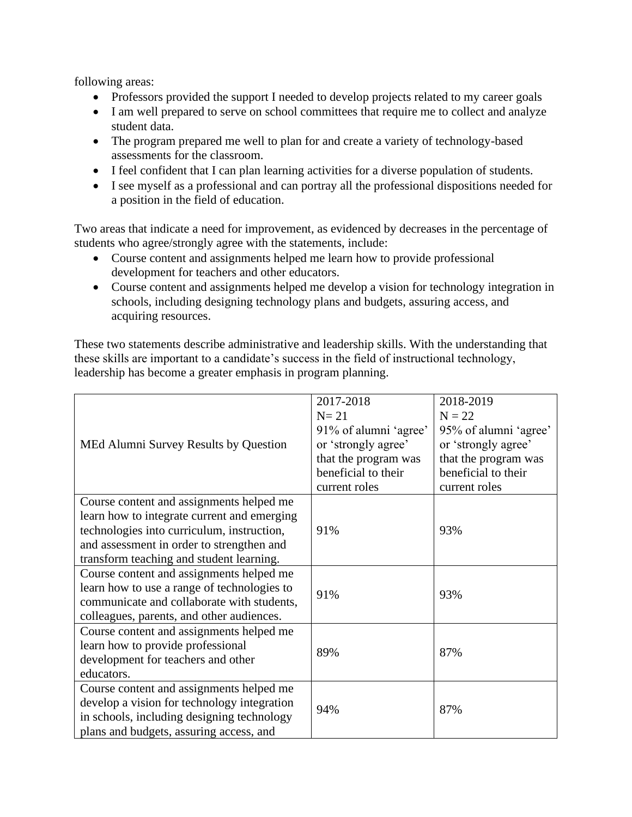following areas:

- Professors provided the support I needed to develop projects related to my career goals
- I am well prepared to serve on school committees that require me to collect and analyze student data.
- The program prepared me well to plan for and create a variety of technology-based assessments for the classroom.
- I feel confident that I can plan learning activities for a diverse population of students.
- I see myself as a professional and can portray all the professional dispositions needed for a position in the field of education.

Two areas that indicate a need for improvement, as evidenced by decreases in the percentage of students who agree/strongly agree with the statements, include:

- Course content and assignments helped me learn how to provide professional development for teachers and other educators.
- Course content and assignments helped me develop a vision for technology integration in schools, including designing technology plans and budgets, assuring access, and acquiring resources.

These two statements describe administrative and leadership skills. With the understanding that these skills are important to a candidate's success in the field of instructional technology, leadership has become a greater emphasis in program planning.

|                                             | 2017-2018             | 2018-2019             |  |
|---------------------------------------------|-----------------------|-----------------------|--|
|                                             | $N=21$                | $N = 22$              |  |
|                                             | 91% of alumni 'agree' | 95% of alumni 'agree' |  |
| MEd Alumni Survey Results by Question       | or 'strongly agree'   | or 'strongly agree'   |  |
|                                             | that the program was  | that the program was  |  |
|                                             | beneficial to their   | beneficial to their   |  |
|                                             | current roles         | current roles         |  |
| Course content and assignments helped me    |                       |                       |  |
| learn how to integrate current and emerging |                       |                       |  |
| technologies into curriculum, instruction,  | 91%                   | 93%                   |  |
| and assessment in order to strengthen and   |                       |                       |  |
| transform teaching and student learning.    |                       |                       |  |
| Course content and assignments helped me    |                       |                       |  |
| learn how to use a range of technologies to | 91%                   | 93%                   |  |
| communicate and collaborate with students,  |                       |                       |  |
| colleagues, parents, and other audiences.   |                       |                       |  |
| Course content and assignments helped me    |                       |                       |  |
| learn how to provide professional           | 89%                   | 87%                   |  |
| development for teachers and other          |                       |                       |  |
| educators.                                  |                       |                       |  |
| Course content and assignments helped me    |                       |                       |  |
| develop a vision for technology integration | 94%                   | 87%                   |  |
| in schools, including designing technology  |                       |                       |  |
| plans and budgets, assuring access, and     |                       |                       |  |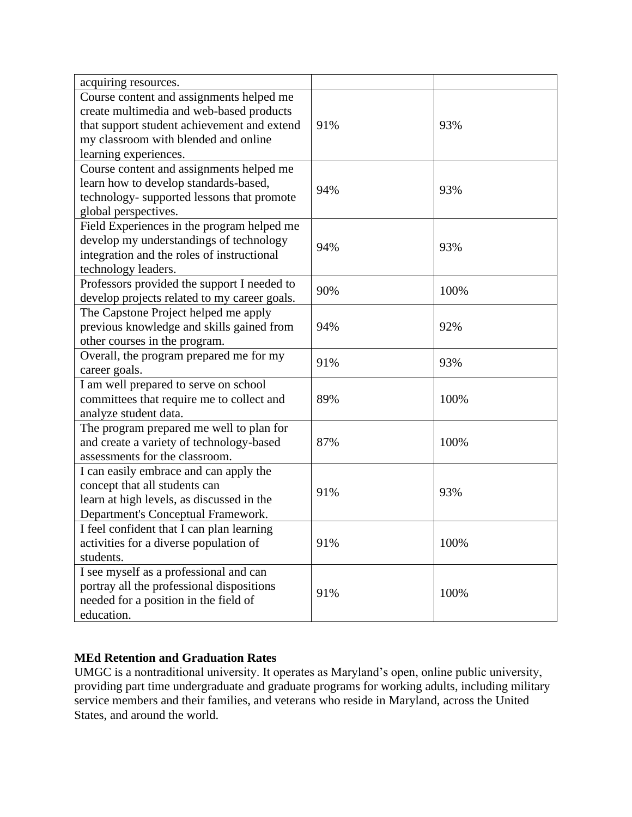| acquiring resources.                         |     |      |
|----------------------------------------------|-----|------|
| Course content and assignments helped me     |     |      |
| create multimedia and web-based products     |     |      |
| that support student achievement and extend  | 91% | 93%  |
| my classroom with blended and online         |     |      |
| learning experiences.                        |     |      |
| Course content and assignments helped me     |     |      |
| learn how to develop standards-based,        | 94% | 93%  |
| technology-supported lessons that promote    |     |      |
| global perspectives.                         |     |      |
| Field Experiences in the program helped me   |     |      |
| develop my understandings of technology      | 94% | 93%  |
| integration and the roles of instructional   |     |      |
| technology leaders.                          |     |      |
| Professors provided the support I needed to  | 90% | 100% |
| develop projects related to my career goals. |     |      |
| The Capstone Project helped me apply         |     |      |
| previous knowledge and skills gained from    | 94% | 92%  |
| other courses in the program.                |     |      |
| Overall, the program prepared me for my      | 91% | 93%  |
| career goals.                                |     |      |
| I am well prepared to serve on school        |     |      |
| committees that require me to collect and    | 89% | 100% |
| analyze student data.                        |     |      |
| The program prepared me well to plan for     |     |      |
| and create a variety of technology-based     | 87% | 100% |
| assessments for the classroom.               |     |      |
| I can easily embrace and can apply the       |     |      |
| concept that all students can                | 91% | 93%  |
| learn at high levels, as discussed in the    |     |      |
| Department's Conceptual Framework.           |     |      |
| I feel confident that I can plan learning    |     |      |
| activities for a diverse population of       | 91% | 100% |
| students.                                    |     |      |
| I see myself as a professional and can       |     |      |
| portray all the professional dispositions    | 91% | 100% |
| needed for a position in the field of        |     |      |
| education.                                   |     |      |

# **MEd Retention and Graduation Rates**

UMGC is a nontraditional university. It operates as Maryland's open, online public university, providing part time undergraduate and graduate programs for working adults, including military service members and their families, and veterans who reside in Maryland, across the United States, and around the world.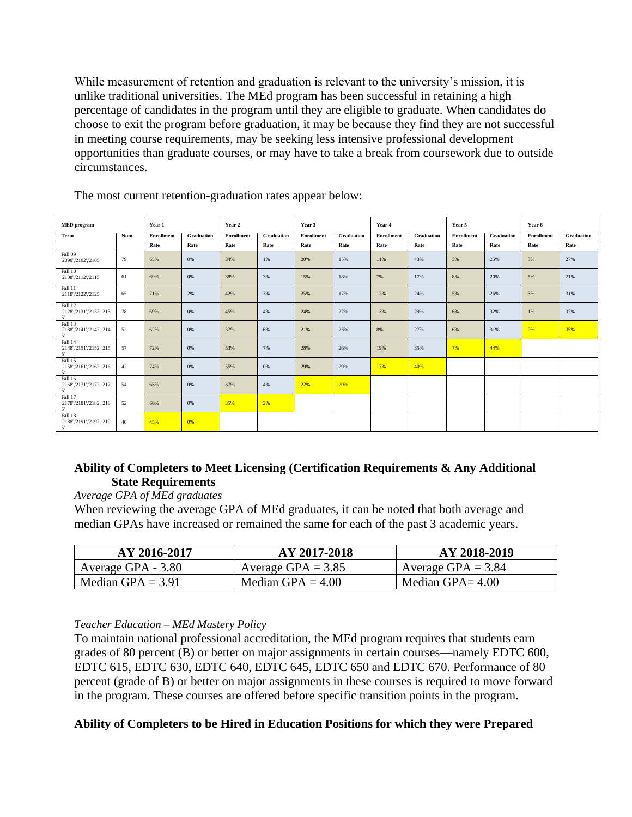While measurement of retention and graduation is relevant to the university's mission, it is unlike traditional universities. The MEd program has been successful in retaining a high percentage of candidates in the program until they are eligible to graduate. When candidates do choose to exit the program before graduation, it may be because they find they are not successful in meeting course requirements, may be seeking less intensive professional development opportunities than graduate courses, or may have to take a break from coursework due to outside circumstances.

| <b>MED</b> program                                  |     | Year 1            |            | Year 2     |            | Year 3            |            |            | Year 4     |            | Year 5     |            | Year 6     |  |
|-----------------------------------------------------|-----|-------------------|------------|------------|------------|-------------------|------------|------------|------------|------------|------------|------------|------------|--|
| Term                                                | Num | <b>Enrollment</b> | Graduation | Enrollment | Graduation | <b>Enrollment</b> | Graduation | Enrollment | Graduation | Enrollment | Graduation | Enrollment | Graduation |  |
|                                                     |     | Rate              | Rate       | Rate       | Rate       | Rate              | Rate       | Rate       | Rate       | Rate       | Rate       | Rate       | Rate       |  |
| Fall 09<br>'2098','2102','2105'                     | 79  | 65%               | 0%         | 34%        | 1%         | 20%               | 15%        | 11%        | 43%        | 3%         | 25%        | 3%         | 27%        |  |
| Fall 10<br>'2108','2112','2115'                     | 61  | 69%               | 0%         | 38%        | 3%         | 15%               | 18%        | 7%         | 17%        | 8%         | 20%        | 5%         | 21%        |  |
| Fall 11<br>'2118','2122','2125'                     | 65  | 71%               | 2%         | 42%        | 3%         | 25%               | 17%        | 12%        | 24%        | 5%         | 26%        | 3%         | 31%        |  |
| Fall 12<br>'2128','2131','2132','213<br>5'          | 78  | 69%               | 0%         | 45%        | 4%         | 24%               | 22%        | 13%        | 29%        | 6%         | 32%        | 1%         | 37%        |  |
| Fall 13<br>'2138','2141','2142','214<br>5'          | 52  | 62%               | 0%         | 37%        | 6%         | 21%               | 23%        | 8%         | 27%        | 6%         | 31%        | 0%         | 35%        |  |
| Fall 14<br>'2148','2151','2152','215<br>$5^{\circ}$ | 57  | 72%               | 0%         | 53%        | 7%         | 28%               | 26%        | 19%        | 35%        | 7%         | 44%        |            |            |  |
| Fall 15<br>'2158','2161','2162','216<br>$5^{\circ}$ | 42  | 74%               | 0%         | 55%        | 0%         | 29%               | 29%        | 17%        | 40%        |            |            |            |            |  |
| Fall 16<br>'2168','2171','2172','217<br>5'          | 54  | 65%               | 0%         | 37%        | 4%         | 22%               | 20%        |            |            |            |            |            |            |  |
| Fall 17<br>'2178','2181','2182','218<br>5'          | 52  | 60%               | 0%         | 35%        | 2%         |                   |            |            |            |            |            |            |            |  |
| Fall 18<br>'2188','2191','2192','219<br>5'          | 40  | 45%               | 0%         |            |            |                   |            |            |            |            |            |            |            |  |

The most current retention-graduation rates appear below:

## **Ability of Completers to Meet Licensing (Certification Requirements & Any Additional State Requirements**

#### *Average GPA of MEd graduates*

When reviewing the average GPA of MEd graduates, it can be noted that both average and median GPAs have increased or remained the same for each of the past 3 academic years.

| AY 2016-2017        | AY 2017-2018         | AY 2018-2019         |
|---------------------|----------------------|----------------------|
| Average GPA - 3.80  | Average GPA = $3.85$ | Average GPA = $3.84$ |
| Median GPA = $3.91$ | Median GPA = $4.00$  | Median GPA $=$ 4.00  |

#### *Teacher Education – MEd Mastery Policy*

To maintain national professional accreditation, the MEd program requires that students earn grades of 80 percent (B) or better on major assignments in certain courses—namely EDTC 600, EDTC 615, EDTC 630, EDTC 640, EDTC 645, EDTC 650 and EDTC 670. Performance of 80 percent (grade of B) or better on major assignments in these courses is required to move forward in the program. These courses are offered before specific transition points in the program.

# **Ability of Completers to be Hired in Education Positions for which they were Prepared**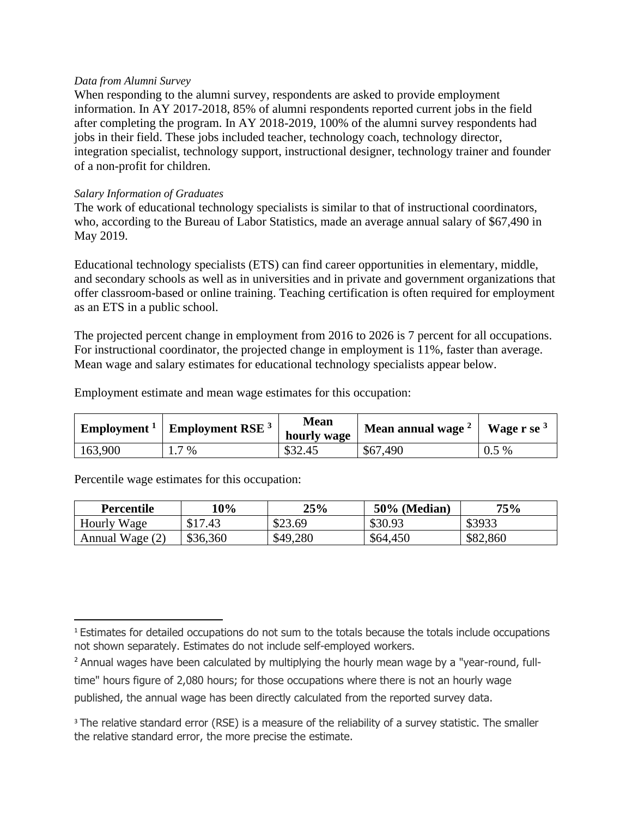#### *Data from Alumni Survey*

When responding to the alumni survey, respondents are asked to provide employment information. In AY 2017-2018, 85% of alumni respondents reported current jobs in the field after completing the program. In AY 2018-2019, 100% of the alumni survey respondents had jobs in their field. These jobs included teacher, technology coach, technology director, integration specialist, technology support, instructional designer, technology trainer and founder of a non-profit for children.

#### *Salary Information of Graduates*

The work of educational technology specialists is similar to that of instructional coordinators, who, according to the Bureau of Labor Statistics, made an average annual salary of \$67,490 in May 2019.

Educational technology specialists (ETS) can find career opportunities in elementary, middle, and secondary schools as well as in universities and in private and government organizations that offer classroom-based or online training. Teaching certification is often required for employment as an ETS in a public school.

The projected percent change in employment from 2016 to 2026 is 7 percent for all occupations. For instructional coordinator, the projected change in employment is 11%, faster than average. Mean wage and salary estimates for educational technology specialists appear below.

Employment estimate and mean wage estimates for this occupation:

| Employment $1$ | <b>Employment RSE</b> <sup>3</sup> | <b>Mean</b><br>hourly wage | Mean annual wage <sup>2</sup> | Wage $r$ se $3$ |  |
|----------------|------------------------------------|----------------------------|-------------------------------|-----------------|--|
| 163,900        | 7 %                                | \$32.45                    | \$67,490                      | 5 %<br>0.5      |  |

Percentile wage estimates for this occupation:

| Percentile      | 10%         | 25%      | $50\%$ (Median) | 75%      |
|-----------------|-------------|----------|-----------------|----------|
| Hourly Wage     | \$17<br>.43 | \$23.69  | \$30.93         | \$3933   |
| Annual Wage (2) | \$36,360    | \$49,280 | \$64,450        | \$82,860 |

published, the annual wage has been directly calculated from the reported survey data.

<sup>1</sup> Estimates for detailed occupations do not sum to the totals because the totals include occupations not shown separately. Estimates do not include self-employed workers.

<sup>2</sup> Annual wages have been calculated by multiplying the hourly mean wage by a "year-round, fulltime" hours figure of 2,080 hours; for those occupations where there is not an hourly wage

<sup>&</sup>lt;sup>3</sup> The relative standard error (RSE) is a measure of the reliability of a survey statistic. The smaller the relative standard error, the more precise the estimate.